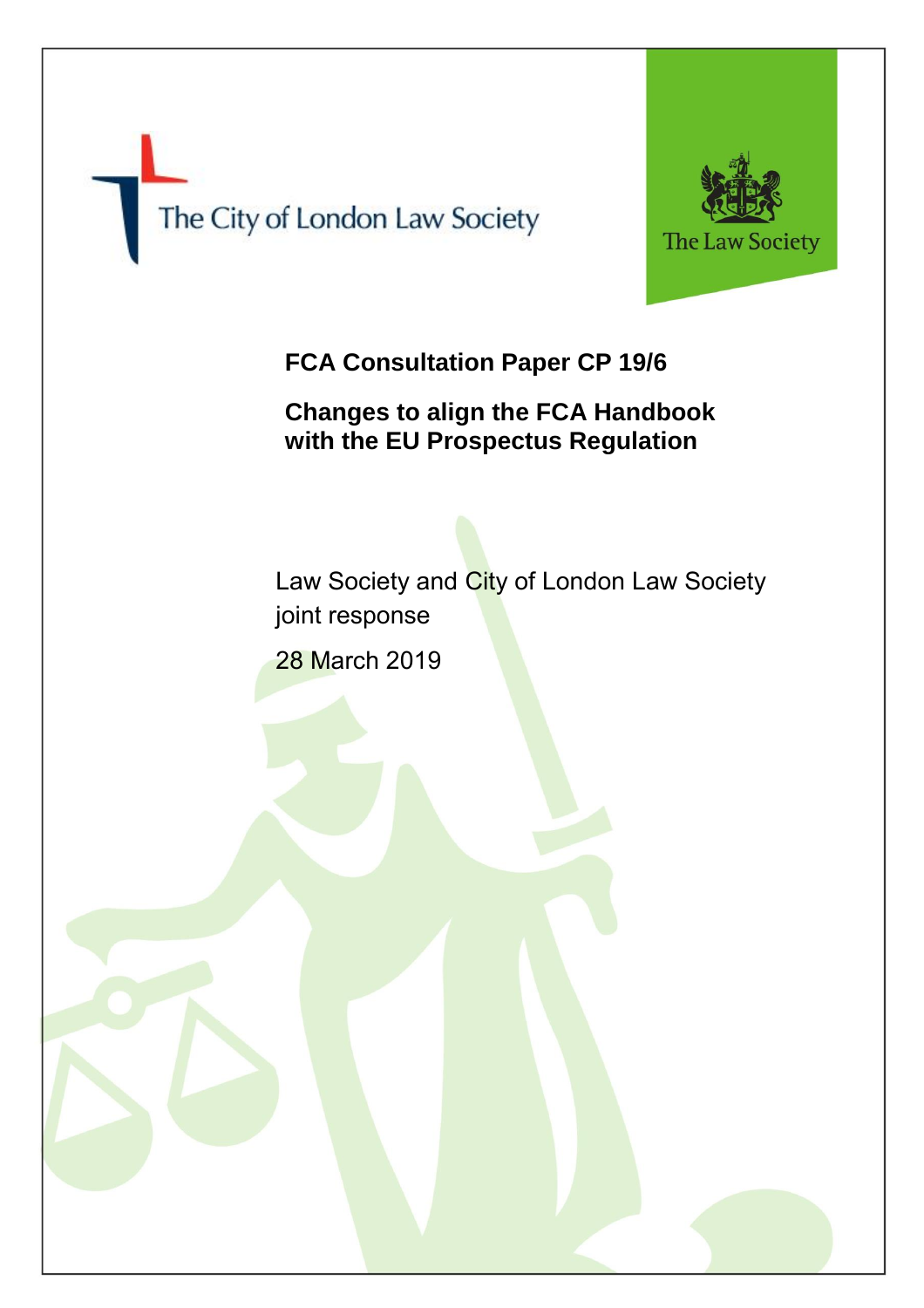



# **FCA Consultation Paper CP 19/6**

## **Changes to align the FCA Handbook with the EU Prospectus Regulation**

Law Society and City of London Law Society joint response 28 March 2019